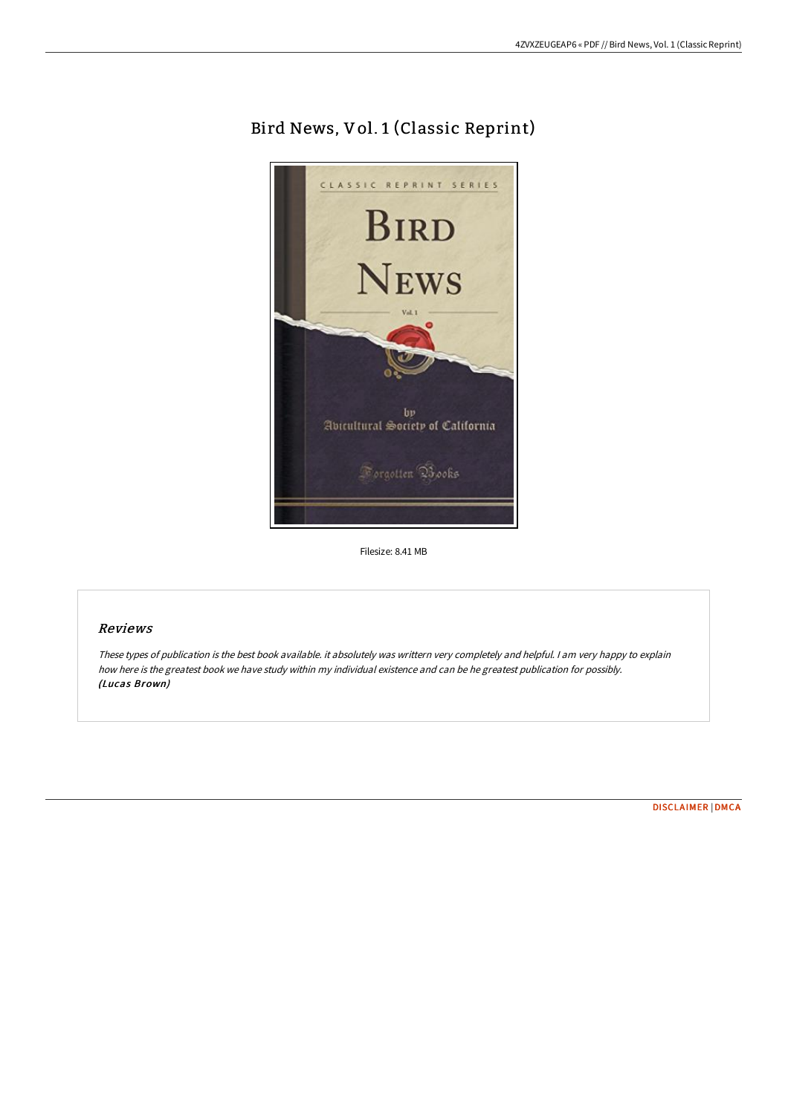## Bird News, Vol. 1 (Classic Reprint)



Filesize: 8.41 MB

## Reviews

These types of publication is the best book available. it absolutely was writtern very completely and helpful. I am very happy to explain how here is the greatest book we have study within my individual existence and can be he greatest publication for possibly. (Lucas Brown)

[DISCLAIMER](http://albedo.media/disclaimer.html) | [DMCA](http://albedo.media/dmca.html)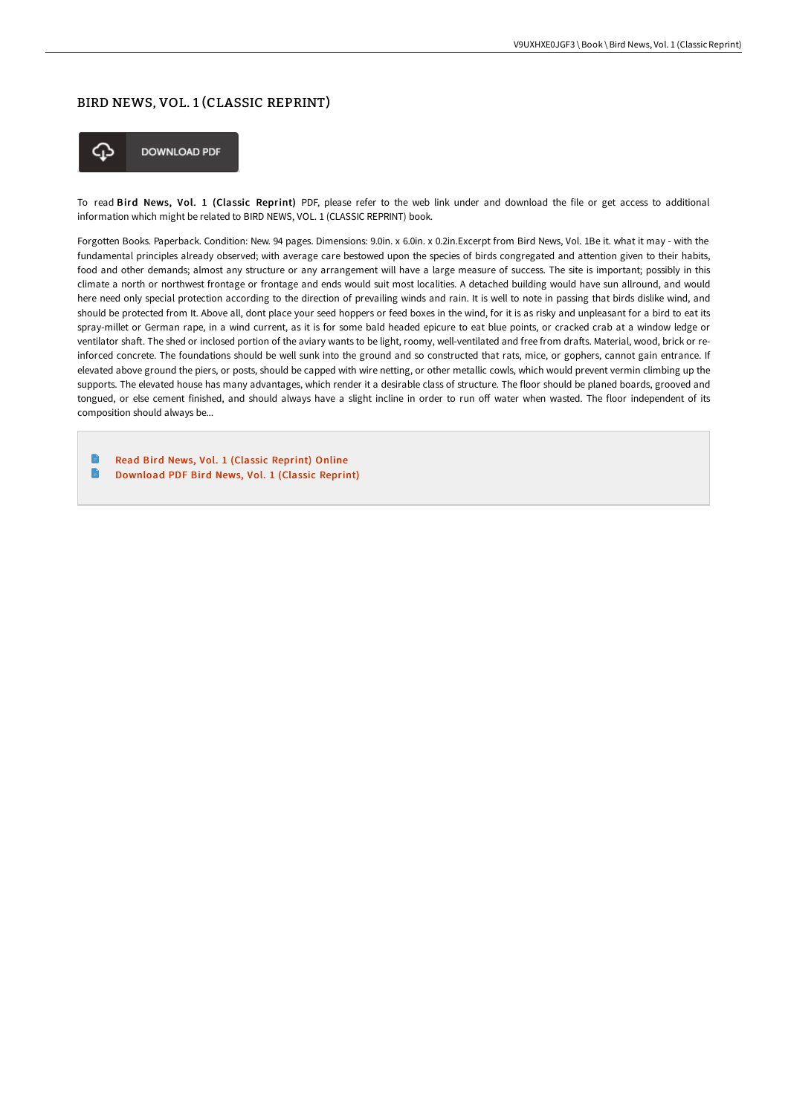## BIRD NEWS, VOL. 1 (CLASSIC REPRINT)



To read Bird News, Vol. 1 (Classic Reprint) PDF, please refer to the web link under and download the file or get access to additional information which might be related to BIRD NEWS, VOL. 1 (CLASSIC REPRINT) book.

Forgotten Books. Paperback. Condition: New. 94 pages. Dimensions: 9.0in. x 6.0in. x 0.2in.Excerpt from Bird News, Vol. 1Be it. what it may - with the fundamental principles already observed; with average care bestowed upon the species of birds congregated and attention given to their habits, food and other demands; almost any structure or any arrangement will have a large measure of success. The site is important; possibly in this climate a north or northwest frontage or frontage and ends would suit most localities. A detached building would have sun allround, and would here need only special protection according to the direction of prevailing winds and rain. It is well to note in passing that birds dislike wind, and should be protected from It. Above all, dont place your seed hoppers or feed boxes in the wind, for it is as risky and unpleasant for a bird to eat its spray-millet or German rape, in a wind current, as it is for some bald headed epicure to eat blue points, or cracked crab at a window ledge or ventilator shaft. The shed or inclosed portion of the aviary wants to be light, roomy, well-ventilated and free from drafts. Material, wood, brick or reinforced concrete. The foundations should be well sunk into the ground and so constructed that rats, mice, or gophers, cannot gain entrance. If elevated above ground the piers, or posts, should be capped with wire netting, or other metallic cowls, which would prevent vermin climbing up the supports. The elevated house has many advantages, which render it a desirable class of structure. The floor should be planed boards, grooved and tongued, or else cement finished, and should always have a slight incline in order to run off water when wasted. The floor independent of its composition should always be...

Read Bird News, Vol. 1 (Classic [Reprint\)](http://albedo.media/bird-news-vol-1-classic-reprint.html) Online  $\blacksquare$ [Download](http://albedo.media/bird-news-vol-1-classic-reprint.html) PDF Bird News, Vol. 1 (Classic Reprint)